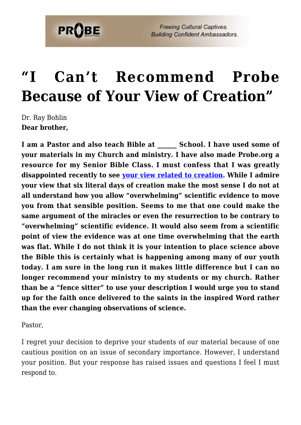

## **["I Can't Recommend Probe](https://probe.org/i-cant-recommend-probe-because-of-your-view-of-creation/) [Because of Your View of Creation"](https://probe.org/i-cant-recommend-probe-because-of-your-view-of-creation/)**

Dr. Ray Bohlin **Dear brother,**

**I am a Pastor and also teach Bible at \_\_\_\_\_\_ School. I have used some of your materials in my Church and ministry. I have also made Probe.org a resource for my Senior Bible Class. I must confess that I was greatly disappointed recently to see [your view related to creation.](https://www.probe.org/christian-views-of-science-and-earth-history/) While I admire your view that six literal days of creation make the most sense I do not at all understand how you allow "overwhelming" scientific evidence to move you from that sensible position. Seems to me that one could make the same argument of the miracles or even the resurrection to be contrary to "overwhelming" scientific evidence. It would also seem from a scientific point of view the evidence was at one time overwhelming that the earth was flat. While I do not think it is your intention to place science above the Bible this is certainly what is happening among many of our youth today. I am sure in the long run it makes little difference but I can no longer recommend your ministry to my students or my church. Rather than be a "fence sitter" to use your description I would urge you to stand up for the faith once delivered to the saints in the inspired Word rather than the ever changing observations of science.**

Pastor,

I regret your decision to deprive your students of our material because of one cautious position on an issue of secondary importance. However, I understand your position. But your response has raised issues and questions I feel I must respond to.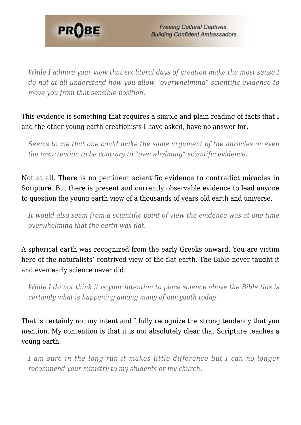

*While I admire your view that six literal days of creation make the most sense I do not at all understand how you allow "overwhelming" scientific evidence to move you from that sensible position.*

#### This evidence is something that requires a simple and plain reading of facts that I and the other young earth creationists I have asked, have no answer for.

*Seems to me that one could make the same argument of the miracles or even the resurrection to be contrary to "overwhelming" scientific evidence.*

Not at all. There is no pertinent scientific evidence to contradict miracles in Scripture. But there is present and currently observable evidence to lead anyone to question the young earth view of a thousands of years old earth and universe.

*It would also seem from a scientific point of view the evidence was at one time overwhelming that the earth was flat.*

A spherical earth was recognized from the early Greeks onward. You are victim here of the naturalists' contrived view of the flat earth. The Bible never taught it and even early science never did.

*While I do not think it is your intention to place science above the Bible this is certainly what is happening among many of our youth today.*

That is certainly not my intent and I fully recognize the strong tendency that you mention. My contention is that it is not absolutely clear that Scripture teaches a young earth.

*I am sure in the long run it makes little difference but I can no longer recommend your ministry to my students or my church.*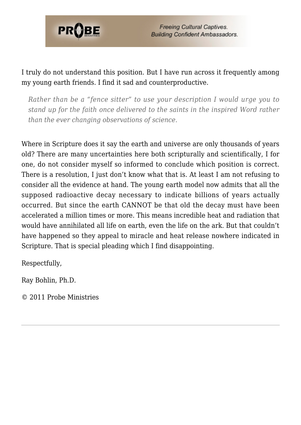

I truly do not understand this position. But I have run across it frequently among my young earth friends. I find it sad and counterproductive.

*Rather than be a "fence sitter" to use your description I would urge you to stand up for the faith once delivered to the saints in the inspired Word rather than the ever changing observations of science.*

Where in Scripture does it say the earth and universe are only thousands of years old? There are many uncertainties here both scripturally and scientifically, I for one, do not consider myself so informed to conclude which position is correct. There is a resolution, I just don't know what that is. At least I am not refusing to consider all the evidence at hand. The young earth model now admits that all the supposed radioactive decay necessary to indicate billions of years actually occurred. But since the earth CANNOT be that old the decay must have been accelerated a million times or more. This means incredible heat and radiation that would have annihilated all life on earth, even the life on the ark. But that couldn't have happened so they appeal to miracle and heat release nowhere indicated in Scripture. That is special pleading which I find disappointing.

Respectfully,

Ray Bohlin, Ph.D.

© 2011 Probe Ministries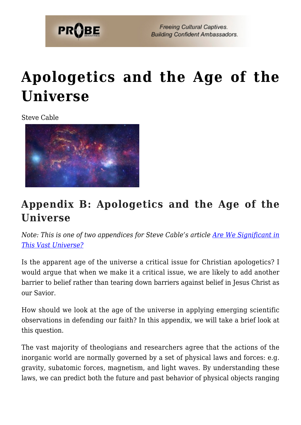

## **[Apologetics and the Age of the](https://probe.org/apologetics-and-the-age-of-the-universe/) [Universe](https://probe.org/apologetics-and-the-age-of-the-universe/)**

Steve Cable



## **Appendix B: Apologetics and the Age of the Universe**

*Note: This is one of two appendices for Steve Cable's article [Are We Significant in](https://www.probe.org/are-we-significant-in-this-vast-universe/) [This Vast Universe?](https://www.probe.org/are-we-significant-in-this-vast-universe/)*

Is the apparent age of the universe a critical issue for Christian apologetics? I would argue that when we make it a critical issue, we are likely to add another barrier to belief rather than tearing down barriers against belief in Jesus Christ as our Savior.

How should we look at the age of the universe in applying emerging scientific observations in defending our faith? In this appendix, we will take a brief look at this question.

The vast majority of theologians and researchers agree that the actions of the inorganic world are normally governed by a set of physical laws and forces: e.g. gravity, subatomic forces, magnetism, and light waves. By understanding these laws, we can predict both the future and past behavior of physical objects ranging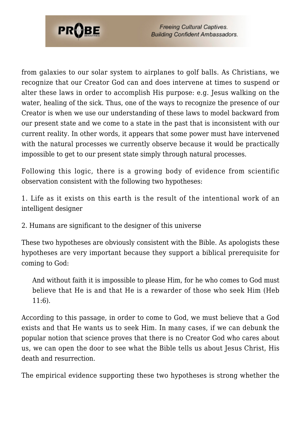

from galaxies to our solar system to airplanes to golf balls. As Christians, we recognize that our Creator God can and does intervene at times to suspend or alter these laws in order to accomplish His purpose: e.g. Jesus walking on the water, healing of the sick. Thus, one of the ways to recognize the presence of our Creator is when we use our understanding of these laws to model backward from our present state and we come to a state in the past that is inconsistent with our current reality. In other words, it appears that some power must have intervened with the natural processes we currently observe because it would be practically impossible to get to our present state simply through natural processes.

Following this logic, there is a growing body of evidence from scientific observation consistent with the following two hypotheses:

1. Life as it exists on this earth is the result of the intentional work of an intelligent designer

2. Humans are significant to the designer of this universe

These two hypotheses are obviously consistent with the Bible. As apologists these hypotheses are very important because they support a biblical prerequisite for coming to God:

And without faith it is impossible to please Him, for he who comes to God must believe that He is and that He is a rewarder of those who seek Him (Heb 11:6).

According to this passage, in order to come to God, we must believe that a God exists and that He wants us to seek Him. In many cases, if we can debunk the popular notion that science proves that there is no Creator God who cares about us, we can open the door to see what the Bible tells us about Jesus Christ, His death and resurrection.

The empirical evidence supporting these two hypotheses is strong whether the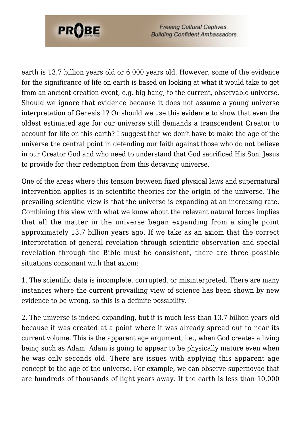

earth is 13.7 billion years old or 6,000 years old. However, some of the evidence for the significance of life on earth is based on looking at what it would take to get from an ancient creation event, e.g. big bang, to the current, observable universe. Should we ignore that evidence because it does not assume a young universe interpretation of Genesis 1? Or should we use this evidence to show that even the oldest estimated age for our universe still demands a transcendent Creator to account for life on this earth? I suggest that we don't have to make the age of the universe the central point in defending our faith against those who do not believe in our Creator God and who need to understand that God sacrificed His Son, Jesus to provide for their redemption from this decaying universe.

One of the areas where this tension between fixed physical laws and supernatural intervention applies is in scientific theories for the origin of the universe. The prevailing scientific view is that the universe is expanding at an increasing rate. Combining this view with what we know about the relevant natural forces implies that all the matter in the universe began expanding from a single point approximately 13.7 billion years ago. If we take as an axiom that the correct interpretation of general revelation through scientific observation and special revelation through the Bible must be consistent, there are three possible situations consonant with that axiom:

1. The scientific data is incomplete, corrupted, or misinterpreted. There are many instances where the current prevailing view of science has been shown by new evidence to be wrong, so this is a definite possibility.

2. The universe is indeed expanding, but it is much less than 13.7 billion years old because it was created at a point where it was already spread out to near its current volume. This is the apparent age argument, i.e., when God creates a living being such as Adam, Adam is going to appear to be physically mature even when he was only seconds old. There are issues with applying this apparent age concept to the age of the universe. For example, we can observe supernovae that are hundreds of thousands of light years away. If the earth is less than 10,000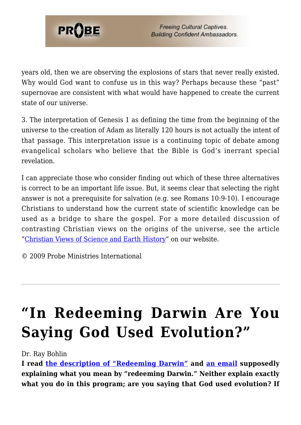

years old, then we are observing the explosions of stars that never really existed. Why would God want to confuse us in this way? Perhaps because these "past" supernovae are consistent with what would have happened to create the current state of our universe.

3. The interpretation of Genesis 1 as defining the time from the beginning of the universe to the creation of Adam as literally 120 hours is not actually the intent of that passage. This interpretation issue is a continuing topic of debate among evangelical scholars who believe that the Bible is God's inerrant special revelation.

I can appreciate those who consider finding out which of these three alternatives is correct to be an important life issue. But, it seems clear that selecting the right answer is not a prerequisite for salvation (e.g. see Romans 10:9-10). I encourage Christians to understand how the current state of scientific knowledge can be used as a bridge to share the gospel. For a more detailed discussion of contrasting Christian views on the origins of the universe, see the article "[Christian Views of Science and Earth History](https://www.probe.org/christian-views-of-science-and-earth-history/)" on our website.

© 2009 Probe Ministries International

# **["In Redeeming Darwin Are You](https://probe.org/in-redeeming-darwin-are-you-saying-god-used-evolution/) [Saying God Used Evolution?"](https://probe.org/in-redeeming-darwin-are-you-saying-god-used-evolution/)**

Dr. Ray Bohlin

**I read [the description of "Redeeming Darwin"](https://www.probe.org/redeeming-darwin-the-intelligent-design-controversy/) and [an email](https://www.probe.org/why-are-you-trying-to-redeem-darwin/) supposedly explaining what you mean by "redeeming Darwin." Neither explain exactly what you do in this program; are you saying that God used evolution? If**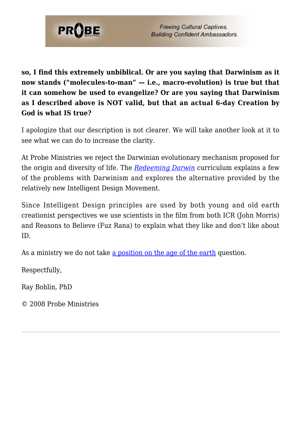

**so, I find this extremely unbiblical. Or are you saying that Darwinism as it now stands ("molecules-to-man" — i.e., macro-evolution) is true but that it can somehow be used to evangelize? Or are you saying that Darwinism as I described above is NOT valid, but that an actual 6-day Creation by God is what IS true?**

I apologize that our description is not clearer. We will take another look at it to see what we can do to increase the clarity.

At Probe Ministries we reject the Darwinian evolutionary mechanism proposed for the origin and diversity of life. The *[Redeeming Darwin](https://www.probe.org/store/discovering-the-designer/)* curriculum explains a few of the problems with Darwinism and explores the alternative provided by the relatively new Intelligent Design Movement.

Since Intelligent Design principles are used by both young and old earth creationist perspectives we use scientists in the film from both ICR (John Morris) and Reasons to Believe (Fuz Rana) to explain what they like and don't like about ID.

As a ministry we do not take [a position on the age of the earth](https://www.probe.org/dr-ray-bohlin/) question.

Respectfully,

Ray Bohlin, PhD

© 2008 Probe Ministries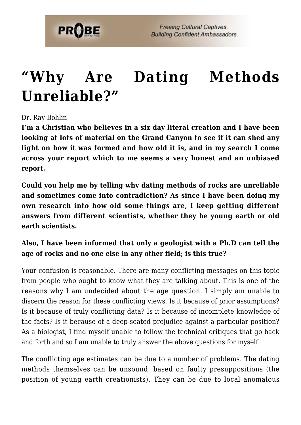

## **["Why Are Dating Methods](https://probe.org/why-are-dating-methods-unreliable/) [Unreliable?"](https://probe.org/why-are-dating-methods-unreliable/)**

Dr. Ray Bohlin

**I'm a Christian who believes in a six day literal creation and I have been looking at lots of material on the Grand Canyon to see if it can shed any light on how it was formed and how old it is, and in my search I come across your report which to me seems a very honest and an unbiased report.**

**Could you help me by telling why dating methods of rocks are unreliable and sometimes come into contradiction? As since I have been doing my own research into how old some things are, I keep getting different answers from different scientists, whether they be young earth or old earth scientists.**

#### **Also, I have been informed that only a geologist with a Ph.D can tell the age of rocks and no one else in any other field; is this true?**

Your confusion is reasonable. There are many conflicting messages on this topic from people who ought to know what they are talking about. This is one of the reasons why I am undecided about the age question. I simply am unable to discern the reason for these conflicting views. Is it because of prior assumptions? Is it because of truly conflicting data? Is it because of incomplete knowledge of the facts? Is it because of a deep-seated prejudice against a particular position? As a biologist, I find myself unable to follow the technical critiques that go back and forth and so I am unable to truly answer the above questions for myself.

The conflicting age estimates can be due to a number of problems. The dating methods themselves can be unsound, based on faulty presuppositions (the position of young earth creationists). They can be due to local anomalous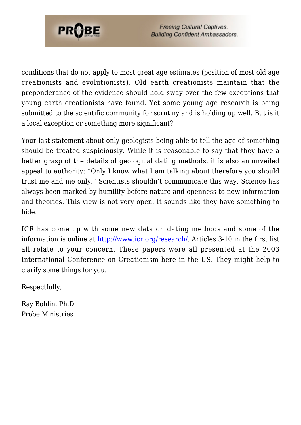

conditions that do not apply to most great age estimates (position of most old age creationists and evolutionists). Old earth creationists maintain that the preponderance of the evidence should hold sway over the few exceptions that young earth creationists have found. Yet some young age research is being submitted to the scientific community for scrutiny and is holding up well. But is it a local exception or something more significant?

Your last statement about only geologists being able to tell the age of something should be treated suspiciously. While it is reasonable to say that they have a better grasp of the details of geological dating methods, it is also an unveiled appeal to authority: "Only I know what I am talking about therefore you should trust me and me only." Scientists shouldn't communicate this way. Science has always been marked by humility before nature and openness to new information and theories. This view is not very open. It sounds like they have something to hide.

ICR has come up with some new data on dating methods and some of the information is online at <http://www.icr.org/research/>. Articles 3-10 in the first list all relate to your concern. These papers were all presented at the 2003 International Conference on Creationism here in the US. They might help to clarify some things for you.

Respectfully,

Ray Bohlin, Ph.D. Probe Ministries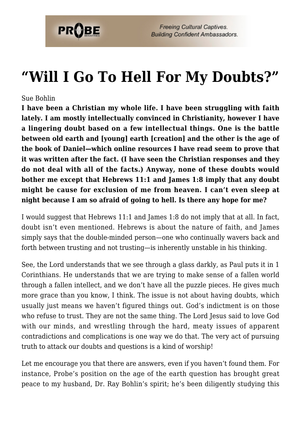

## **["Will I Go To Hell For My Doubts?"](https://probe.org/will-i-go-to-hell-for-my-doubts/)**

#### Sue Bohlin

**I have been a Christian my whole life. I have been struggling with faith lately. I am mostly intellectually convinced in Christianity, however I have a lingering doubt based on a few intellectual things. One is the battle between old earth and [young] earth [creation] and the other is the age of the book of Daniel—which online resources I have read seem to prove that it was written after the fact. (I have seen the Christian responses and they do not deal with all of the facts.) Anyway, none of these doubts would bother me except that Hebrews 11:1 and James 1:8 imply that any doubt might be cause for exclusion of me from heaven. I can't even sleep at night because I am so afraid of going to hell. Is there any hope for me?**

I would suggest that Hebrews 11:1 and James 1:8 do not imply that at all. In fact, doubt isn't even mentioned. Hebrews is about the nature of faith, and James simply says that the double-minded person—one who continually wavers back and forth between trusting and not trusting—is inherently unstable in his thinking.

See, the Lord understands that we see through a glass darkly, as Paul puts it in 1 Corinthians. He understands that we are trying to make sense of a fallen world through a fallen intellect, and we don't have all the puzzle pieces. He gives much more grace than you know, I think. The issue is not about having doubts, which usually just means we haven't figured things out. God's indictment is on those who refuse to trust. They are not the same thing. The Lord Jesus said to love God with our minds, and wrestling through the hard, meaty issues of apparent contradictions and complications is one way we do that. The very act of pursuing truth to attack our doubts and questions is a kind of worship!

Let me encourage you that there are answers, even if you haven't found them. For instance, Probe's position on the age of the earth question has brought great peace to my husband, Dr. Ray Bohlin's spirit; he's been diligently studying this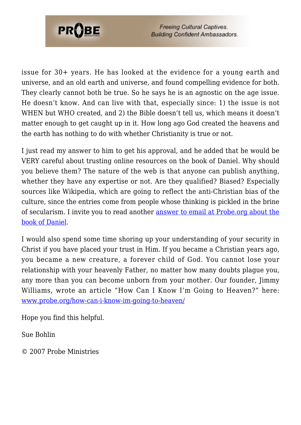

issue for 30+ years. He has looked at the evidence for a young earth and universe, and an old earth and universe, and found compelling evidence for both. They clearly cannot both be true. So he says he is an agnostic on the age issue. He doesn't know. And can live with that, especially since: 1) the issue is not WHEN but WHO created, and 2) the Bible doesn't tell us, which means it doesn't matter enough to get caught up in it. How long ago God created the heavens and the earth has nothing to do with whether Christianity is true or not.

I just read my answer to him to get his approval, and he added that he would be VERY careful about trusting online resources on the book of Daniel. Why should you believe them? The nature of the web is that anyone can publish anything, whether they have any expertise or not. Are they qualified? Biased? Especially sources like Wikipedia, which are going to reflect the anti-Christian bias of the culture, since the entries come from people whose thinking is pickled in the brine of secularism. I invite you to read another [answer to email at Probe.org about the](https://www.probe.org/are-the-prophecies-in-the-book-of-daniel-a-pack-of-lies/) [book of Daniel.](https://www.probe.org/are-the-prophecies-in-the-book-of-daniel-a-pack-of-lies/)

I would also spend some time shoring up your understanding of your security in Christ if you have placed your trust in Him. If you became a Christian years ago, you became a new creature, a forever child of God. You cannot lose your relationship with your heavenly Father, no matter how many doubts plague you, any more than you can become unborn from your mother. Our founder, Jimmy Williams, wrote an article "How Can I Know I'm Going to Heaven?" here: [www.probe.org/how-can-i-know-im-going-to-heaven/](https://www.probe.org/how-can-i-know-im-going-to-heaven/)

Hope you find this helpful.

Sue Bohlin

© 2007 Probe Ministries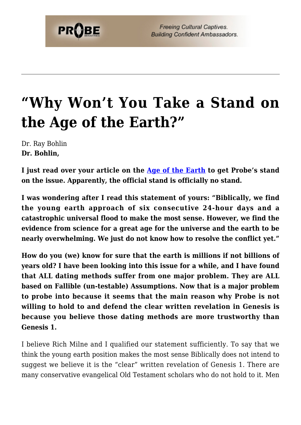# **["Why Won't You Take a Stand on](https://probe.org/why-wont-you-take-a-stand-on-the-age-of-the-earth/) [the Age of the Earth?"](https://probe.org/why-wont-you-take-a-stand-on-the-age-of-the-earth/)**

Dr. Ray Bohlin **Dr. Bohlin,**

**I just read over your article on the [Age of the Earth](https://www.probe.org/christian-views-of-science-and-earth-history/) to get Probe's stand on the issue. Apparently, the official stand is officially no stand.**

**I was wondering after I read this statement of yours: "Biblically, we find the young earth approach of six consecutive 24-hour days and a catastrophic universal flood to make the most sense. However, we find the evidence from science for a great age for the universe and the earth to be nearly overwhelming. We just do not know how to resolve the conflict yet."**

**How do you (we) know for sure that the earth is millions if not billions of years old? I have been looking into this issue for a while, and I have found that ALL dating methods suffer from one major problem. They are ALL based on Fallible (un-testable) Assumptions. Now that is a major problem to probe into because it seems that the main reason why Probe is not willing to hold to and defend the clear written revelation in Genesis is because you believe those dating methods are more trustworthy than Genesis 1.**

I believe Rich Milne and I qualified our statement sufficiently. To say that we think the young earth position makes the most sense Biblically does not intend to suggest we believe it is the "clear" written revelation of Genesis 1. There are many conservative evangelical Old Testament scholars who do not hold to it. Men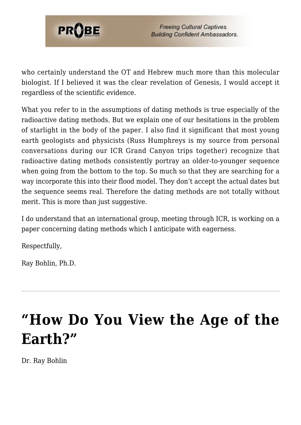

who certainly understand the OT and Hebrew much more than this molecular biologist. If I believed it was the clear revelation of Genesis, I would accept it regardless of the scientific evidence.

What you refer to in the assumptions of dating methods is true especially of the radioactive dating methods. But we explain one of our hesitations in the problem of starlight in the body of the paper. I also find it significant that most young earth geologists and physicists (Russ Humphreys is my source from personal conversations during our ICR Grand Canyon trips together) recognize that radioactive dating methods consistently portray an older-to-younger sequence when going from the bottom to the top. So much so that they are searching for a way incorporate this into their flood model. They don't accept the actual dates but the sequence seems real. Therefore the dating methods are not totally without merit. This is more than just suggestive.

I do understand that an international group, meeting through ICR, is working on a paper concerning dating methods which I anticipate with eagerness.

Respectfully,

Ray Bohlin, Ph.D.

# **["How Do You View the Age of the](https://probe.org/how-do-you-view-the-age-of-the-earth/) [Earth?"](https://probe.org/how-do-you-view-the-age-of-the-earth/)**

Dr. Ray Bohlin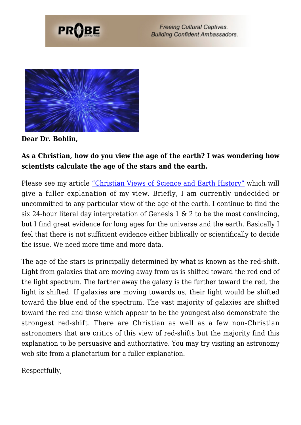



**Dear Dr. Bohlin,**

#### **As a Christian, how do you view the age of the earth? I was wondering how scientists calculate the age of the stars and the earth.**

Please see my article ["Christian Views of Science and Earth History"](https://www.probe.org/christian-views-of-science-and-earth-history/) which will give a fuller explanation of my view. Briefly, I am currently undecided or uncommitted to any particular view of the age of the earth. I continue to find the six 24-hour literal day interpretation of Genesis 1 & 2 to be the most convincing, but I find great evidence for long ages for the universe and the earth. Basically I feel that there is not sufficient evidence either biblically or scientifically to decide the issue. We need more time and more data.

The age of the stars is principally determined by what is known as the red-shift. Light from galaxies that are moving away from us is shifted toward the red end of the light spectrum. The farther away the galaxy is the further toward the red, the light is shifted. If galaxies are moving towards us, their light would be shifted toward the blue end of the spectrum. The vast majority of galaxies are shifted toward the red and those which appear to be the youngest also demonstrate the strongest red-shift. There are Christian as well as a few non-Christian astronomers that are critics of this view of red-shifts but the majority find this explanation to be persuasive and authoritative. You may try visiting an astronomy web site from a planetarium for a fuller explanation.

Respectfully,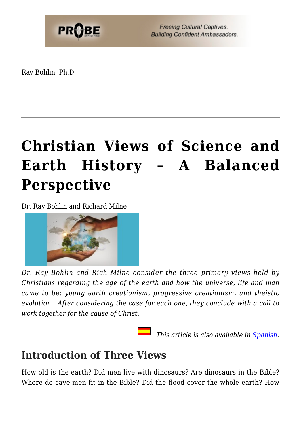

Ray Bohlin, Ph.D.

# **[Christian Views of Science and](https://probe.org/christian-views-of-science-and-earth-history/) [Earth History – A Balanced](https://probe.org/christian-views-of-science-and-earth-history/) [Perspective](https://probe.org/christian-views-of-science-and-earth-history/)**

Dr. Ray Bohlin and Richard Milne



*Dr. Ray Bohlin and Rich Milne consider the three primary views held by Christians regarding the age of the earth and how the universe, life and man came to be: young earth creationism, progressive creationism, and theistic evolution. After considering the case for each one, they conclude with a call to work together for the cause of Christ.*

 *This article is also available in [Spanish.](https://ministeriosprobe.org/docs/vista-cristianos.html)*

### **Introduction of Three Views**

How old is the earth? Did men live with dinosaurs? Are dinosaurs in the Bible? Where do cave men fit in the Bible? Did the flood cover the whole earth? How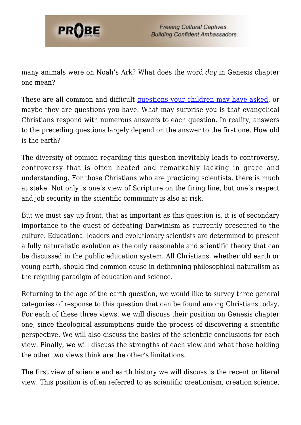

many animals were on Noah's Ark? What does the word *day* in Genesis chapter one mean?

These are all common and difficult [questions your children may have asked,](https://probe.org/how-to-talk-to-your-kids-about-evolution-and-creation/) or maybe they are questions you have. What may surprise you is that evangelical Christians respond with numerous answers to each question. In reality, answers to the preceding questions largely depend on the answer to the first one. How old is the earth?

The diversity of opinion regarding this question inevitably leads to controversy, controversy that is often heated and remarkably lacking in grace and understanding. For those Christians who are practicing scientists, there is much at stake. Not only is one's view of Scripture on the firing line, but one's respect and job security in the scientific community is also at risk.

But we must say up front, that as important as this question is, it is of secondary importance to the quest of defeating Darwinism as currently presented to the culture. Educational leaders and evolutionary scientists are determined to present a fully naturalistic evolution as the only reasonable and scientific theory that can be discussed in the public education system. All Christians, whether old earth or young earth, should find common cause in dethroning philosophical naturalism as the reigning paradigm of education and science.

Returning to the age of the earth question, we would like to survey three general categories of response to this question that can be found among Christians today. For each of these three views, we will discuss their position on Genesis chapter one, since theological assumptions guide the process of discovering a scientific perspective. We will also discuss the basics of the scientific conclusions for each view. Finally, we will discuss the strengths of each view and what those holding the other two views think are the other's limitations.

The first view of science and earth history we will discuss is the recent or literal view. This position is often referred to as scientific creationism, creation science,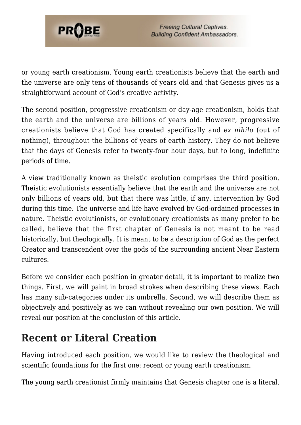

or young earth creationism. Young earth creationists believe that the earth and the universe are only tens of thousands of years old and that Genesis gives us a straightforward account of God's creative activity.

The second position, progressive creationism or day-age creationism, holds that the earth and the universe are billions of years old. However, progressive creationists believe that God has created specifically and *ex nihilo* (out of nothing), throughout the billions of years of earth history. They do not believe that the days of Genesis refer to twenty-four hour days, but to long, indefinite periods of time.

A view traditionally known as theistic evolution comprises the third position. Theistic evolutionists essentially believe that the earth and the universe are not only billions of years old, but that there was little, if any, intervention by God during this time. The universe and life have evolved by God-ordained processes in nature. Theistic evolutionists, or evolutionary creationists as many prefer to be called, believe that the first chapter of Genesis is not meant to be read historically, but theologically. It is meant to be a description of God as the perfect Creator and transcendent over the gods of the surrounding ancient Near Eastern cultures.

Before we consider each position in greater detail, it is important to realize two things. First, we will paint in broad strokes when describing these views. Each has many sub-categories under its umbrella. Second, we will describe them as objectively and positively as we can without revealing our own position. We will reveal our position at the conclusion of this article.

### **Recent or Literal Creation**

Having introduced each position, we would like to review the theological and scientific foundations for the first one: recent or young earth creationism.

The young earth creationist firmly maintains that Genesis chapter one is a literal,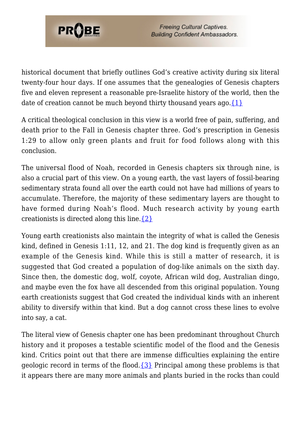

historical document that briefly outlines God's creative activity during six literal twenty-four hour days. If one assumes that the genealogies of Genesis chapters five and eleven represent a reasonable pre-Israelite history of the world, then the date of creation cannot be much beyond thirty thousand years ago. $\{1\}$ 

A critical theological conclusion in this view is a world free of pain, suffering, and death prior to the Fall in Genesis chapter three. God's prescription in Genesis 1:29 to allow only green plants and fruit for food follows along with this conclusion.

The universal flood of Noah, recorded in Genesis chapters six through nine, is also a crucial part of this view. On a young earth, the vast layers of fossil-bearing sedimentary strata found all over the earth could not have had millions of years to accumulate. Therefore, the majority of these sedimentary layers are thought to have formed during Noah's flood. Much research activity by young earth creationists is directed along this line.[{2}](#page-25-1)

Young earth creationists also maintain the integrity of what is called the Genesis kind, defined in Genesis 1:11, 12, and 21. The dog kind is frequently given as an example of the Genesis kind. While this is still a matter of research, it is suggested that God created a population of dog-like animals on the sixth day. Since then, the domestic dog, wolf, coyote, African wild dog, Australian dingo, and maybe even the fox have all descended from this original population. Young earth creationists suggest that God created the individual kinds with an inherent ability to diversify within that kind. But a dog cannot cross these lines to evolve into say, a cat.

The literal view of Genesis chapter one has been predominant throughout Church history and it proposes a testable scientific model of the flood and the Genesis kind. Critics point out that there are immense difficulties explaining the entire geologic record in terms of the flood.  $\{3\}$  Principal among these problems is that it appears there are many more animals and plants buried in the rocks than could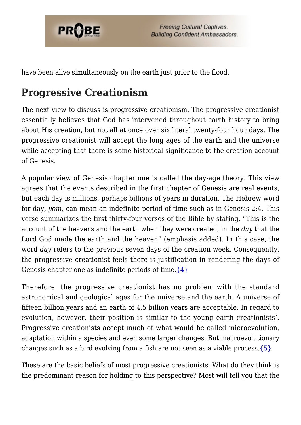

have been alive simultaneously on the earth just prior to the flood.

### **Progressive Creationism**

The next view to discuss is progressive creationism. The progressive creationist essentially believes that God has intervened throughout earth history to bring about His creation, but not all at once over six literal twenty-four hour days. The progressive creationist will accept the long ages of the earth and the universe while accepting that there is some historical significance to the creation account of Genesis.

A popular view of Genesis chapter one is called the day-age theory. This view agrees that the events described in the first chapter of Genesis are real events, but each day is millions, perhaps billions of years in duration. The Hebrew word for day, *yom*, can mean an indefinite period of time such as in Genesis 2:4. This verse summarizes the first thirty-four verses of the Bible by stating, "This is the account of the heavens and the earth when they were created, in the *day* that the Lord God made the earth and the heaven" (emphasis added). In this case, the word *day* refers to the previous seven days of the creation week. Consequently, the progressive creationist feels there is justification in rendering the days of Genesis chapter one as indefinite periods of time.  $\{4\}$ 

Therefore, the progressive creationist has no problem with the standard astronomical and geological ages for the universe and the earth. A universe of fifteen billion years and an earth of 4.5 billion years are acceptable. In regard to evolution, however, their position is similar to the young earth creationists'. Progressive creationists accept much of what would be called microevolution, adaptation within a species and even some larger changes. But macroevolutionary changes such as a bird evolving from a fish are not seen as a viable process. ${5}$ 

These are the basic beliefs of most progressive creationists. What do they think is the predominant reason for holding to this perspective? Most will tell you that the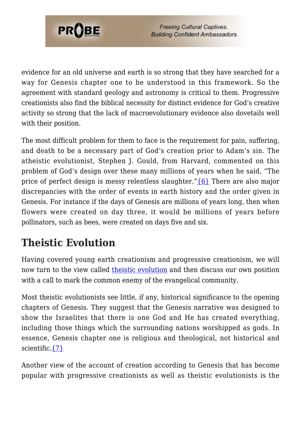

evidence for an old universe and earth is so strong that they have searched for a way for Genesis chapter one to be understood in this framework. So the agreement with standard geology and astronomy is critical to them. Progressive creationists also find the biblical necessity for distinct evidence for God's creative activity so strong that the lack of macroevolutionary evidence also dovetails well with their position.

The most difficult problem for them to face is the requirement for pain, suffering, and death to be a necessary part of God's creation prior to Adam's sin. The atheistic evolutionist, Stephen J. Gould, from Harvard, commented on this problem of God's design over these many millions of years when he said, "The price of perfect design is messy relentless slaughter." $\{6\}$  There are also major discrepancies with the order of events in earth history and the order given in Genesis. For instance if the days of Genesis are millions of years long, then when flowers were created on day three, it would be millions of years before pollinators, such as bees, were created on days five and six.

### **Theistic Evolution**

Having covered young earth creationism and progressive creationism, we will now turn to the view called [theistic evolution](https://probe.org/is-theistic-evolution-the-only-viable-answer-for-thinking-christians/) and then discuss our own position with a call to mark the common enemy of the evangelical community.

Most theistic evolutionists see little, if any, historical significance to the opening chapters of Genesis. They suggest that the Genesis narrative was designed to show the Israelites that there is one God and He has created everything, including those things which the surrounding nations worshipped as gods. In essence, Genesis chapter one is religious and theological, not historical and scientific[.{7}](#page-25-6)

Another view of the account of creation according to Genesis that has become popular with progressive creationists as well as theistic evolutionists is the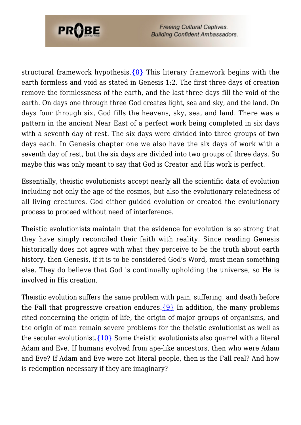

structural framework hypothesis. $\{8\}$  This literary framework begins with the earth formless and void as stated in Genesis 1:2. The first three days of creation remove the formlessness of the earth, and the last three days fill the void of the earth. On days one through three God creates light, sea and sky, and the land. On days four through six, God fills the heavens, sky, sea, and land. There was a pattern in the ancient Near East of a perfect work being completed in six days with a seventh day of rest. The six days were divided into three groups of two days each. In Genesis chapter one we also have the six days of work with a seventh day of rest, but the six days are divided into two groups of three days. So maybe this was only meant to say that God is Creator and His work is perfect.

Essentially, theistic evolutionists accept nearly all the scientific data of evolution including not only the age of the cosmos, but also the evolutionary relatedness of all living creatures. God either guided evolution or created the evolutionary process to proceed without need of interference.

Theistic evolutionists maintain that the evidence for evolution is so strong that they have simply reconciled their faith with reality. Since reading Genesis historically does not agree with what they perceive to be the truth about earth history, then Genesis, if it is to be considered God's Word, must mean something else. They do believe that God is continually upholding the universe, so He is involved in His creation.

Theistic evolution suffers the same problem with pain, suffering, and death before the Fall that progressive creation endures.  $\{9\}$  In addition, the many problems cited concerning the origin of life, the origin of major groups of organisms, and the origin of man remain severe problems for the theistic evolutionist as well as the secular evolutionist. $\{10\}$  Some theistic evolutionists also quarrel with a literal Adam and Eve. If humans evolved from ape-like ancestors, then who were Adam and Eve? If Adam and Eve were not literal people, then is the Fall real? And how is redemption necessary if they are imaginary?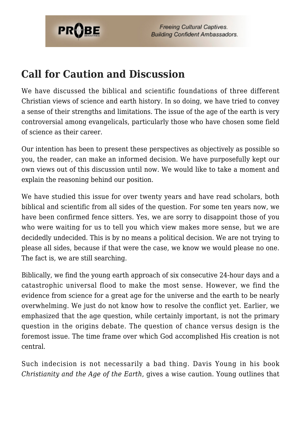

### **Call for Caution and Discussion**

We have discussed the biblical and scientific foundations of three different Christian views of science and earth history. In so doing, we have tried to convey a sense of their strengths and limitations. The issue of the age of the earth is very controversial among evangelicals, particularly those who have chosen some field of science as their career.

Our intention has been to present these perspectives as objectively as possible so you, the reader, can make an informed decision. We have purposefully kept our own views out of this discussion until now. We would like to take a moment and explain the reasoning behind our position.

We have studied this issue for over twenty years and have read scholars, both biblical and scientific from all sides of the question. For some ten years now, we have been confirmed fence sitters. Yes, we are sorry to disappoint those of you who were waiting for us to tell you which view makes more sense, but we are decidedly undecided. This is by no means a political decision. We are not trying to please all sides, because if that were the case, we know we would please no one. The fact is, we are still searching.

Biblically, we find the young earth approach of six consecutive 24-hour days and a catastrophic universal flood to make the most sense. However, we find the evidence from science for a great age for the universe and the earth to be nearly overwhelming. We just do not know how to resolve the conflict yet. Earlier, we emphasized that the age question, while certainly important, is not the primary question in the origins debate. The question of chance versus design is the foremost issue. The time frame over which God accomplished His creation is not central.

Such indecision is not necessarily a bad thing. Davis Young in his book *Christianity and the Age of the Earth*, gives a wise caution. Young outlines that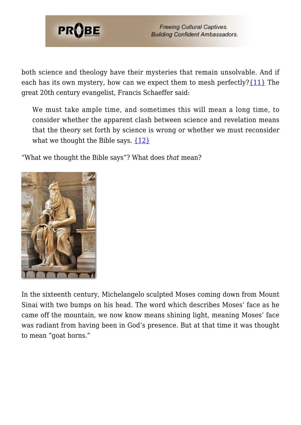

both science and theology have their mysteries that remain unsolvable. And if each has its own mystery, how can we expect them to mesh perfectly? $\{11\}$  The great 20th century evangelist, Francis Schaeffer said:

We must take ample time, and sometimes this will mean a long time, to consider whether the apparent clash between science and revelation means that the theory set forth by science is wrong or whether we must reconsider what we thought the Bible says.  $\{12\}$ 

"What we thought the Bible says"? What does *that* mean?



In the sixteenth century, Michelangelo sculpted Moses coming down from Mount Sinai with two bumps on his head. The word which describes Moses' face as he came off the mountain, we now know means shining light, meaning Moses' face was radiant from having been in God's presence. But at that time it was thought to mean "goat horns."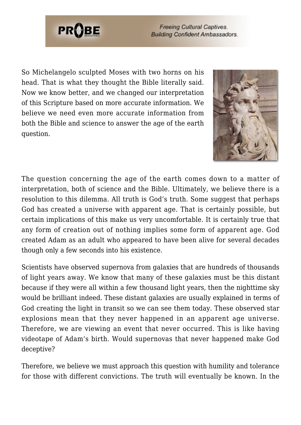

So Michelangelo sculpted Moses with two horns on his head. That is what they thought the Bible literally said. Now we know better, and we changed our interpretation of this Scripture based on more accurate information. We believe we need even more accurate information from both the Bible and science to answer the age of the earth question.



The question concerning the age of the earth comes down to a matter of interpretation, both of science and the Bible. Ultimately, we believe there is a resolution to this dilemma. All truth is God's truth. Some suggest that perhaps God has created a universe with apparent age. That is certainly possible, but certain implications of this make us very uncomfortable. It is certainly true that any form of creation out of nothing implies some form of apparent age. God created Adam as an adult who appeared to have been alive for several decades though only a few seconds into his existence.

Scientists have observed supernova from galaxies that are hundreds of thousands of light years away. We know that many of these galaxies must be this distant because if they were all within a few thousand light years, then the nighttime sky would be brilliant indeed. These distant galaxies are usually explained in terms of God creating the light in transit so we can see them today. These observed star explosions mean that they never happened in an apparent age universe. Therefore, we are viewing an event that never occurred. This is like having videotape of Adam's birth. Would supernovas that never happened make God deceptive?

Therefore, we believe we must approach this question with humility and tolerance for those with different convictions. The truth will eventually be known. In the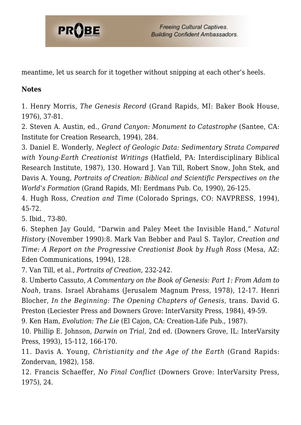

meantime, let us search for it together without snipping at each other's heels.

#### **Notes**

<span id="page-25-0"></span>1. Henry Morris, *The Genesis Record* (Grand Rapids, MI: Baker Book House, 1976), 37-81.

<span id="page-25-1"></span>2. Steven A. Austin, ed., *Grand Canyon: Monument to Catastrophe* (Santee, CA: Institute for Creation Research, 1994), 284.

<span id="page-25-2"></span>3. Daniel E. Wonderly, *Neglect of Geologic Data: Sedimentary Strata Compared with Young-Earth Creationist Writings* (Hatfield, PA: Interdisciplinary Biblical Research Institute, 1987), 130. Howard J. Van Till, Robert Snow, John Stek, and Davis A. Young, *Portraits of Creation: Biblical and Scientific Perspectives on the World's Formation* (Grand Rapids, MI: Eerdmans Pub. Co, 1990), 26-125.

<span id="page-25-3"></span>4. Hugh Ross, *Creation and Time* (Colorado Springs, CO: NAVPRESS, 1994), 45-72.

<span id="page-25-4"></span>5. Ibid., 73-80.

<span id="page-25-5"></span>6. Stephen Jay Gould, "Darwin and Paley Meet the Invisible Hand," *Natural History* (November 1990):8. Mark Van Bebber and Paul S. Taylor, *Creation and Time: A Report on the Progressive Creationist Book by Hugh Ross* (Mesa, AZ: Eden Communications, 1994), 128.

<span id="page-25-6"></span>7. Van Till, et al., *Portraits of Creation*, 232-242.

<span id="page-25-7"></span>8. Umberto Cassuto, *A Commentary on the Book of Genesis: Part 1: From Adam to Noah*, trans. Israel Abrahams (Jerusalem Magnum Press, 1978), 12-17. Henri Blocher, *In the Beginning: The Opening Chapters of Genesis*, trans. David G. Preston (Leciester Press and Downers Grove: InterVarsity Press, 1984), 49-59.

<span id="page-25-8"></span>9. Ken Ham, *Evolution: The Lie* (El Cajon, CA: Creation-Life Pub., 1987).

<span id="page-25-9"></span>10. Phillip E. Johnson, *Darwin on Trial*, 2nd ed. (Downers Grove, IL: InterVarsity Press, 1993), 15-112, 166-170.

<span id="page-25-10"></span>11. Davis A. Young, *Christianity and the Age of the Earth* (Grand Rapids: Zondervan, 1982), 158.

<span id="page-25-11"></span>12. Francis Schaeffer, *No Final Conflict* (Downers Grove: InterVarsity Press, 1975), 24.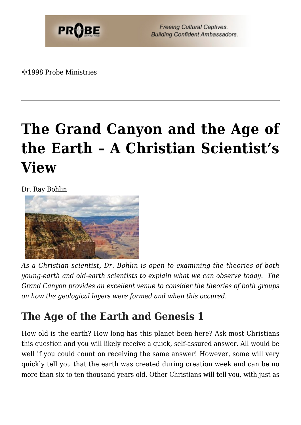

©1998 Probe Ministries

# **[The Grand Canyon and the Age of](https://probe.org/the-grand-canyon-and-the-age-of-the-earth/) [the Earth – A Christian Scientist's](https://probe.org/the-grand-canyon-and-the-age-of-the-earth/) [View](https://probe.org/the-grand-canyon-and-the-age-of-the-earth/)**

Dr. Ray Bohlin



*As a Christian scientist, Dr. Bohlin is open to examining the theories of both young-earth and old-earth scientists to explain what we can observe today. The Grand Canyon provides an excellent venue to consider the theories of both groups on how the geological layers were formed and when this occured.*

### **The Age of the Earth and Genesis 1**

How old is the earth? How long has this planet been here? Ask most Christians this question and you will likely receive a quick, self-assured answer. All would be well if you could count on receiving the same answer! However, some will very quickly tell you that the earth was created during creation week and can be no more than six to ten thousand years old. Other Christians will tell you, with just as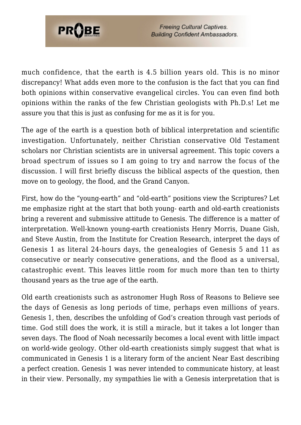

much confidence, that the earth is 4.5 billion years old. This is no minor discrepancy! What adds even more to the confusion is the fact that you can find both opinions within conservative evangelical circles. You can even find both opinions within the ranks of the few Christian geologists with Ph.D.s! Let me assure you that this is just as confusing for me as it is for you.

The age of the earth is a question both of biblical interpretation and scientific investigation. Unfortunately, neither Christian conservative Old Testament scholars nor Christian scientists are in universal agreement. This topic covers a broad spectrum of issues so I am going to try and narrow the focus of the discussion. I will first briefly discuss the biblical aspects of the question, then move on to geology, the flood, and the Grand Canyon.

First, how do the "young-earth" and "old-earth" positions view the Scriptures? Let me emphasize right at the start that both young- earth and old-earth creationists bring a reverent and submissive attitude to Genesis. The difference is a matter of interpretation. Well-known young-earth creationists Henry Morris, Duane Gish, and Steve Austin, from the Institute for Creation Research, interpret the days of Genesis 1 as literal 24-hours days, the genealogies of Genesis 5 and 11 as consecutive or nearly consecutive generations, and the flood as a universal, catastrophic event. This leaves little room for much more than ten to thirty thousand years as the true age of the earth.

Old earth creationists such as astronomer Hugh Ross of Reasons to Believe see the days of Genesis as long periods of time, perhaps even millions of years. Genesis 1, then, describes the unfolding of God's creation through vast periods of time. God still does the work, it is still a miracle, but it takes a lot longer than seven days. The flood of Noah necessarily becomes a local event with little impact on world-wide geology. Other old-earth creationists simply suggest that what is communicated in Genesis 1 is a literary form of the ancient Near East describing a perfect creation. Genesis 1 was never intended to communicate history, at least in their view. Personally, my sympathies lie with a Genesis interpretation that is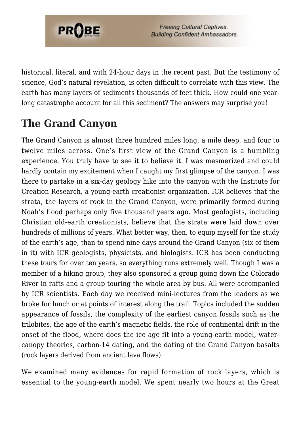

historical, literal, and with 24-hour days in the recent past. But the testimony of science, God's natural revelation, is often difficult to correlate with this view. The earth has many layers of sediments thousands of feet thick. How could one yearlong catastrophe account for all this sediment? The answers may surprise you!

## **The Grand Canyon**

The Grand Canyon is almost three hundred miles long, a mile deep, and four to twelve miles across. One's first view of the Grand Canyon is a humbling experience. You truly have to see it to believe it. I was mesmerized and could hardly contain my excitement when I caught my first glimpse of the canyon. I was there to partake in a six-day geology hike into the canyon with the Institute for Creation Research, a young-earth creationist organization. ICR believes that the strata, the layers of rock in the Grand Canyon, were primarily formed during Noah's flood perhaps only five thousand years ago. Most geologists, including Christian old-earth creationists, believe that the strata were laid down over hundreds of millions of years. What better way, then, to equip myself for the study of the earth's age, than to spend nine days around the Grand Canyon (six of them in it) with ICR geologists, physicists, and biologists. ICR has been conducting these tours for over ten years, so everything runs extremely well. Though I was a member of a hiking group, they also sponsored a group going down the Colorado River in rafts and a group touring the whole area by bus. All were accompanied by ICR scientists. Each day we received mini-lectures from the leaders as we broke for lunch or at points of interest along the trail. Topics included the sudden appearance of fossils, the complexity of the earliest canyon fossils such as the trilobites, the age of the earth's magnetic fields, the role of continental drift in the onset of the flood, where does the ice age fit into a young-earth model, watercanopy theories, carbon-14 dating, and the dating of the Grand Canyon basalts (rock layers derived from ancient lava flows).

We examined many evidences for rapid formation of rock layers, which is essential to the young-earth model. We spent nearly two hours at the Great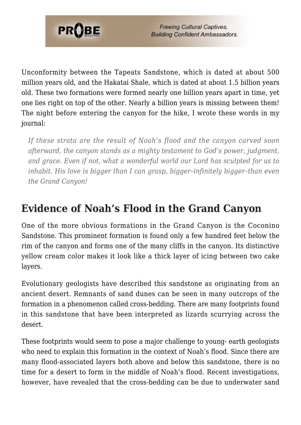

Unconformity between the Tapeats Sandstone, which is dated at about 500 million years old, and the Hakatai Shale, which is dated at about 1.5 billion years old. These two formations were formed nearly one billion years apart in time, yet one lies right on top of the other. Nearly a billion years is missing between them! The night before entering the canyon for the hike, I wrote these words in my journal:

*If these strata are the result of Noah's flood and the canyon carved soon afterward, the canyon stands as a mighty testament to God's power, judgment, and grace. Even if not, what a wonderful world our Lord has sculpted for us to inhabit. His love is bigger than I can grasp, bigger–infinitely bigger–than even the Grand Canyon!*

### **Evidence of Noah's Flood in the Grand Canyon**

One of the more obvious formations in the Grand Canyon is the Coconino Sandstone. This prominent formation is found only a few hundred feet below the rim of the canyon and forms one of the many cliffs in the canyon. Its distinctive yellow cream color makes it look like a thick layer of icing between two cake layers.

Evolutionary geologists have described this sandstone as originating from an ancient desert. Remnants of sand dunes can be seen in many outcrops of the formation in a phenomenon called cross-bedding. There are many footprints found in this sandstone that have been interpreted as lizards scurrying across the desert.

These footprints would seem to pose a major challenge to young- earth geologists who need to explain this formation in the context of Noah's flood. Since there are many flood-associated layers both above and below this sandstone, there is no time for a desert to form in the middle of Noah's flood. Recent investigations, however, have revealed that the cross-bedding can be due to underwater sand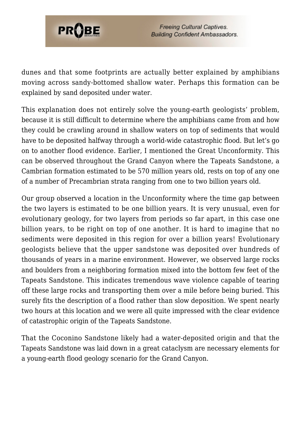

dunes and that some footprints are actually better explained by amphibians moving across sandy-bottomed shallow water. Perhaps this formation can be explained by sand deposited under water.

This explanation does not entirely solve the young-earth geologists' problem, because it is still difficult to determine where the amphibians came from and how they could be crawling around in shallow waters on top of sediments that would have to be deposited halfway through a world-wide catastrophic flood. But let's go on to another flood evidence. Earlier, I mentioned the Great Unconformity. This can be observed throughout the Grand Canyon where the Tapeats Sandstone, a Cambrian formation estimated to be 570 million years old, rests on top of any one of a number of Precambrian strata ranging from one to two billion years old.

Our group observed a location in the Unconformity where the time gap between the two layers is estimated to be one billion years. It is very unusual, even for evolutionary geology, for two layers from periods so far apart, in this case one billion years, to be right on top of one another. It is hard to imagine that no sediments were deposited in this region for over a billion years! Evolutionary geologists believe that the upper sandstone was deposited over hundreds of thousands of years in a marine environment. However, we observed large rocks and boulders from a neighboring formation mixed into the bottom few feet of the Tapeats Sandstone. This indicates tremendous wave violence capable of tearing off these large rocks and transporting them over a mile before being buried. This surely fits the description of a flood rather than slow deposition. We spent nearly two hours at this location and we were all quite impressed with the clear evidence of catastrophic origin of the Tapeats Sandstone.

That the Coconino Sandstone likely had a water-deposited origin and that the Tapeats Sandstone was laid down in a great cataclysm are necessary elements for a young-earth flood geology scenario for the Grand Canyon.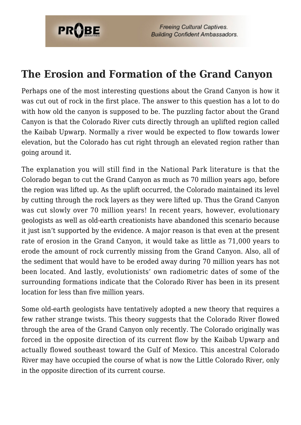

### **The Erosion and Formation of the Grand Canyon**

Perhaps one of the most interesting questions about the Grand Canyon is how it was cut out of rock in the first place. The answer to this question has a lot to do with how old the canyon is supposed to be. The puzzling factor about the Grand Canyon is that the Colorado River cuts directly through an uplifted region called the Kaibab Upwarp. Normally a river would be expected to flow towards lower elevation, but the Colorado has cut right through an elevated region rather than going around it.

The explanation you will still find in the National Park literature is that the Colorado began to cut the Grand Canyon as much as 70 million years ago, before the region was lifted up. As the uplift occurred, the Colorado maintained its level by cutting through the rock layers as they were lifted up. Thus the Grand Canyon was cut slowly over 70 million years! In recent years, however, evolutionary geologists as well as old-earth creationists have abandoned this scenario because it just isn't supported by the evidence. A major reason is that even at the present rate of erosion in the Grand Canyon, it would take as little as 71,000 years to erode the amount of rock currently missing from the Grand Canyon. Also, all of the sediment that would have to be eroded away during 70 million years has not been located. And lastly, evolutionists' own radiometric dates of some of the surrounding formations indicate that the Colorado River has been in its present location for less than five million years.

Some old-earth geologists have tentatively adopted a new theory that requires a few rather strange twists. This theory suggests that the Colorado River flowed through the area of the Grand Canyon only recently. The Colorado originally was forced in the opposite direction of its current flow by the Kaibab Upwarp and actually flowed southeast toward the Gulf of Mexico. This ancestral Colorado River may have occupied the course of what is now the Little Colorado River, only in the opposite direction of its current course.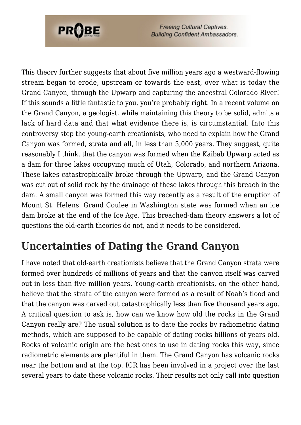

This theory further suggests that about five million years ago a westward-flowing stream began to erode, upstream or towards the east, over what is today the Grand Canyon, through the Upwarp and capturing the ancestral Colorado River! If this sounds a little fantastic to you, you're probably right. In a recent volume on the Grand Canyon, a geologist, while maintaining this theory to be solid, admits a lack of hard data and that what evidence there is, is circumstantial. Into this controversy step the young-earth creationists, who need to explain how the Grand Canyon was formed, strata and all, in less than 5,000 years. They suggest, quite reasonably I think, that the canyon was formed when the Kaibab Upwarp acted as a dam for three lakes occupying much of Utah, Colorado, and northern Arizona. These lakes catastrophically broke through the Upwarp, and the Grand Canyon was cut out of solid rock by the drainage of these lakes through this breach in the dam. A small canyon was formed this way recently as a result of the eruption of Mount St. Helens. Grand Coulee in Washington state was formed when an ice dam broke at the end of the Ice Age. This breached-dam theory answers a lot of questions the old-earth theories do not, and it needs to be considered.

### **Uncertainties of Dating the Grand Canyon**

I have noted that old-earth creationists believe that the Grand Canyon strata were formed over hundreds of millions of years and that the canyon itself was carved out in less than five million years. Young-earth creationists, on the other hand, believe that the strata of the canyon were formed as a result of Noah's flood and that the canyon was carved out catastrophically less than five thousand years ago. A critical question to ask is, how can we know how old the rocks in the Grand Canyon really are? The usual solution is to date the rocks by radiometric dating methods, which are supposed to be capable of dating rocks billions of years old. Rocks of volcanic origin are the best ones to use in dating rocks this way, since radiometric elements are plentiful in them. The Grand Canyon has volcanic rocks near the bottom and at the top. ICR has been involved in a project over the last several years to date these volcanic rocks. Their results not only call into question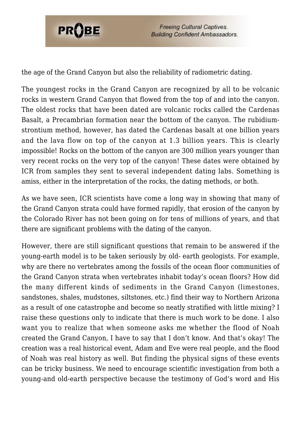

the age of the Grand Canyon but also the reliability of radiometric dating.

The youngest rocks in the Grand Canyon are recognized by all to be volcanic rocks in western Grand Canyon that flowed from the top of and into the canyon. The oldest rocks that have been dated are volcanic rocks called the Cardenas Basalt, a Precambrian formation near the bottom of the canyon. The rubidiumstrontium method, however, has dated the Cardenas basalt at one billion years and the lava flow on top of the canyon at 1.3 billion years. This is clearly impossible! Rocks on the bottom of the canyon are 300 million years younger than very recent rocks on the very top of the canyon! These dates were obtained by ICR from samples they sent to several independent dating labs. Something is amiss, either in the interpretation of the rocks, the dating methods, or both.

As we have seen, ICR scientists have come a long way in showing that many of the Grand Canyon strata could have formed rapidly, that erosion of the canyon by the Colorado River has not been going on for tens of millions of years, and that there are significant problems with the dating of the canyon.

However, there are still significant questions that remain to be answered if the young-earth model is to be taken seriously by old- earth geologists. For example, why are there no vertebrates among the fossils of the ocean floor communities of the Grand Canyon strata when vertebrates inhabit today's ocean floors? How did the many different kinds of sediments in the Grand Canyon (limestones, sandstones, shales, mudstones, siltstones, etc.) find their way to Northern Arizona as a result of one catastrophe and become so neatly stratified with little mixing? I raise these questions only to indicate that there is much work to be done. I also want you to realize that when someone asks me whether the flood of Noah created the Grand Canyon, I have to say that I don't know. And that's okay! The creation was a real historical event, Adam and Eve were real people, and the flood of Noah was real history as well. But finding the physical signs of these events can be tricky business. We need to encourage scientific investigation from both a young-and old-earth perspective because the testimony of God's word and His